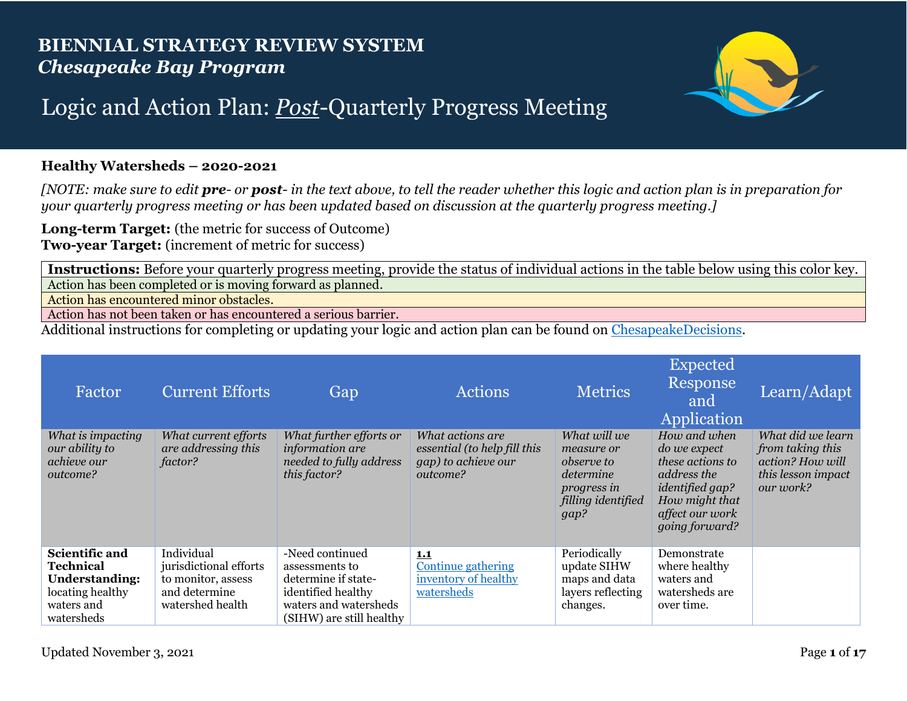## **BIENNIAL STRATEGY REVIEW SYSTEM** *Chesapeake Bay Program*



## Logic and Action Plan: *Post*-Quarterly Progress Meeting

## **Healthy Watersheds – 2020-2021**

*[NOTE: make sure to edit pre- or post- in the text above, to tell the reader whether this logic and action plan is in preparation for your quarterly progress meeting or has been updated based on discussion at the quarterly progress meeting.]*

**Long-term Target:** (the metric for success of Outcome) **Two-year Target:** (increment of metric for success)

**Instructions:** Before your quarterly progress meeting, provide the status of individual actions in the table below using this color key. Action has been completed or is moving forward as planned.

Action has encountered minor obstacles.

Action has not been taken or has encountered a serious barrier.

Additional instructions for completing or updating your logic and action plan can be found on [ChesapeakeDecisions.](http://www.chesapeakebay.net/decisions/srs-guide)

| Factor                                                                                               | <b>Current Efforts</b>                                                                          | Gap                                                                                                                                 | <b>Actions</b>                                                                      | <b>Metrics</b>                                                                                            | <b>Expected</b><br>Response<br>and<br>Application                                                                                                | Learn/Adapt                                                                                  |
|------------------------------------------------------------------------------------------------------|-------------------------------------------------------------------------------------------------|-------------------------------------------------------------------------------------------------------------------------------------|-------------------------------------------------------------------------------------|-----------------------------------------------------------------------------------------------------------|--------------------------------------------------------------------------------------------------------------------------------------------------|----------------------------------------------------------------------------------------------|
| What is impacting<br>our ability to<br>achieve our<br>outcome?                                       | What current efforts<br>are addressing this<br>factor?                                          | What further efforts or<br>information are<br>needed to fully address<br>this factor?                                               | What actions are<br>essential (to help fill this<br>gap) to achieve our<br>outcome? | What will we<br>measure or<br><i>observe to</i><br>determine<br>progress in<br>filling identified<br>gap? | How and when<br>do we expect<br>these actions to<br>address the<br><i>identified gap?</i><br>How might that<br>affect our work<br>going forward? | What did we learn<br>from taking this<br>action? How will<br>this lesson impact<br>our work? |
| Scientific and<br>Technical<br><b>Understanding:</b><br>locating healthy<br>waters and<br>watersheds | Individual<br>jurisdictional efforts<br>to monitor, assess<br>and determine<br>watershed health | -Need continued<br>assessments to<br>determine if state-<br>identified healthy<br>waters and watersheds<br>(SIHW) are still healthy | 1.1<br><b>Continue gathering</b><br>inventory of healthy<br>watersheds              | Periodically<br>update SIHW<br>maps and data<br>layers reflecting<br>changes.                             | Demonstrate<br>where healthy<br>waters and<br>watersheds are<br>over time.                                                                       |                                                                                              |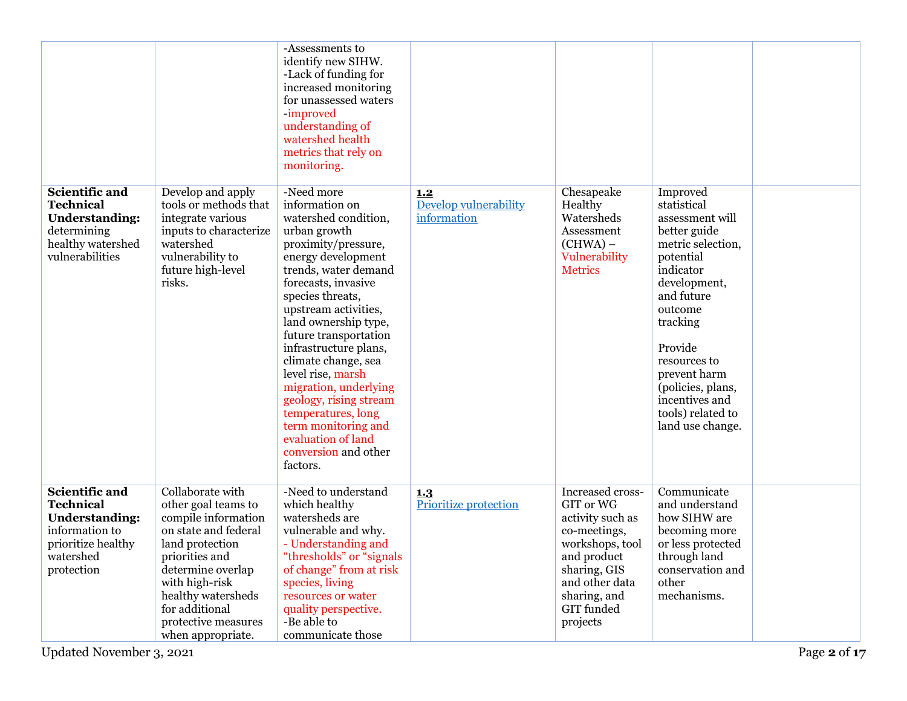|                                                                                                                                |                                                                                                                                                                                                                                                        | -Assessments to<br>identify new SIHW.<br>-Lack of funding for<br>increased monitoring<br>for unassessed waters<br>-improved<br>understanding of<br>watershed health<br>metrics that rely on<br>monitoring.                                                                                                                                                                                                                                                                                   |                                             |                                                                                                                                                                                 |                                                                                                                                                                                                                                                                                           |  |
|--------------------------------------------------------------------------------------------------------------------------------|--------------------------------------------------------------------------------------------------------------------------------------------------------------------------------------------------------------------------------------------------------|----------------------------------------------------------------------------------------------------------------------------------------------------------------------------------------------------------------------------------------------------------------------------------------------------------------------------------------------------------------------------------------------------------------------------------------------------------------------------------------------|---------------------------------------------|---------------------------------------------------------------------------------------------------------------------------------------------------------------------------------|-------------------------------------------------------------------------------------------------------------------------------------------------------------------------------------------------------------------------------------------------------------------------------------------|--|
| Scientific and<br><b>Technical</b><br><b>Understanding:</b><br>determining<br>healthy watershed<br>vulnerabilities             | Develop and apply<br>tools or methods that<br>integrate various<br>inputs to characterize<br>watershed<br>vulnerability to<br>future high-level<br>risks.                                                                                              | -Need more<br>information on<br>watershed condition,<br>urban growth<br>proximity/pressure,<br>energy development<br>trends, water demand<br>forecasts, invasive<br>species threats,<br>upstream activities,<br>land ownership type,<br>future transportation<br>infrastructure plans,<br>climate change, sea<br>level rise, marsh<br>migration, underlying<br>geology, rising stream<br>temperatures, long<br>term monitoring and<br>evaluation of land<br>conversion and other<br>factors. | 1.2<br>Develop vulnerability<br>information | Chesapeake<br>Healthy<br>Watersheds<br>Assessment<br>(CHWA) –<br>Vulnerability<br><b>Metrics</b>                                                                                | Improved<br>statistical<br>assessment will<br>better guide<br>metric selection,<br>potential<br>indicator<br>development,<br>and future<br>outcome<br>tracking<br>Provide<br>resources to<br>prevent harm<br>(policies, plans,<br>incentives and<br>tools) related to<br>land use change. |  |
| Scientific and<br><b>Technical</b><br><b>Understanding:</b><br>information to<br>prioritize healthy<br>watershed<br>protection | Collaborate with<br>other goal teams to<br>compile information<br>on state and federal<br>land protection<br>priorities and<br>determine overlap<br>with high-risk<br>healthy watersheds<br>for additional<br>protective measures<br>when appropriate. | -Need to understand<br>which healthy<br>watersheds are<br>vulnerable and why.<br>- Understanding and<br>"thresholds" or "signals"<br>of change" from at risk<br>species, living<br>resources or water<br>quality perspective.<br>-Be able to<br>communicate those                                                                                                                                                                                                                            | 1.3<br>Prioritize protection                | Increased cross-<br>GIT or WG<br>activity such as<br>co-meetings,<br>workshops, tool<br>and product<br>sharing, GIS<br>and other data<br>sharing, and<br>GIT funded<br>projects | Communicate<br>and understand<br>how SIHW are<br>becoming more<br>or less protected<br>through land<br>conservation and<br>other<br>mechanisms.                                                                                                                                           |  |

Updated November 3, 2021 Page **2** of **17**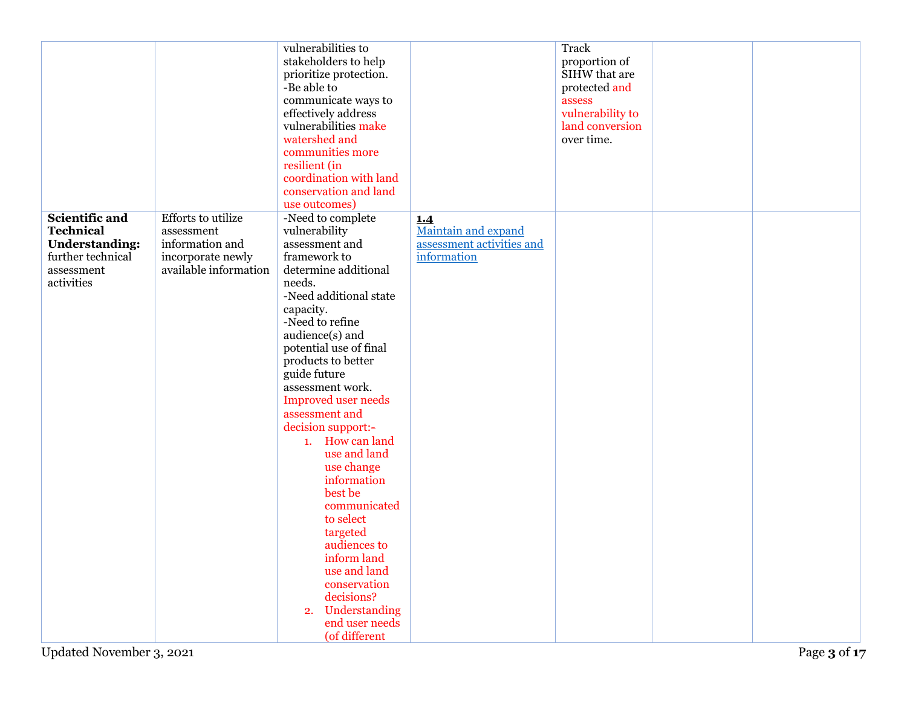|                                                                                                              |                                                                                                          | vulnerabilities to<br>stakeholders to help<br>prioritize protection.<br>-Be able to<br>communicate ways to<br>effectively address<br>vulnerabilities make<br>watershed and<br>communities more<br>resilient (in<br>coordination with land<br>conservation and land<br>use outcomes)                                                                                                                                                                                                                                                                                                                      |                                                                        | Track<br>proportion of<br>SIHW that are<br>protected and<br>assess<br>vulnerability to<br>land conversion<br>over time. |  |
|--------------------------------------------------------------------------------------------------------------|----------------------------------------------------------------------------------------------------------|----------------------------------------------------------------------------------------------------------------------------------------------------------------------------------------------------------------------------------------------------------------------------------------------------------------------------------------------------------------------------------------------------------------------------------------------------------------------------------------------------------------------------------------------------------------------------------------------------------|------------------------------------------------------------------------|-------------------------------------------------------------------------------------------------------------------------|--|
| Scientific and<br><b>Technical</b><br><b>Understanding:</b><br>further technical<br>assessment<br>activities | <b>Efforts</b> to utilize<br>assessment<br>information and<br>incorporate newly<br>available information | -Need to complete<br>vulnerability<br>assessment and<br>framework to<br>determine additional<br>needs.<br>-Need additional state<br>capacity.<br>-Need to refine<br>audience(s) and<br>potential use of final<br>products to better<br>guide future<br>assessment work.<br><b>Improved</b> user needs<br>assessment and<br>decision support:-<br>1. How can land<br>use and land<br>use change<br>information<br>best be<br>communicated<br>to select<br>targeted<br>audiences to<br>inform land<br>use and land<br>conservation<br>decisions?<br>Understanding<br>2.<br>end user needs<br>(of different | 1.4<br>Maintain and expand<br>assessment activities and<br>information |                                                                                                                         |  |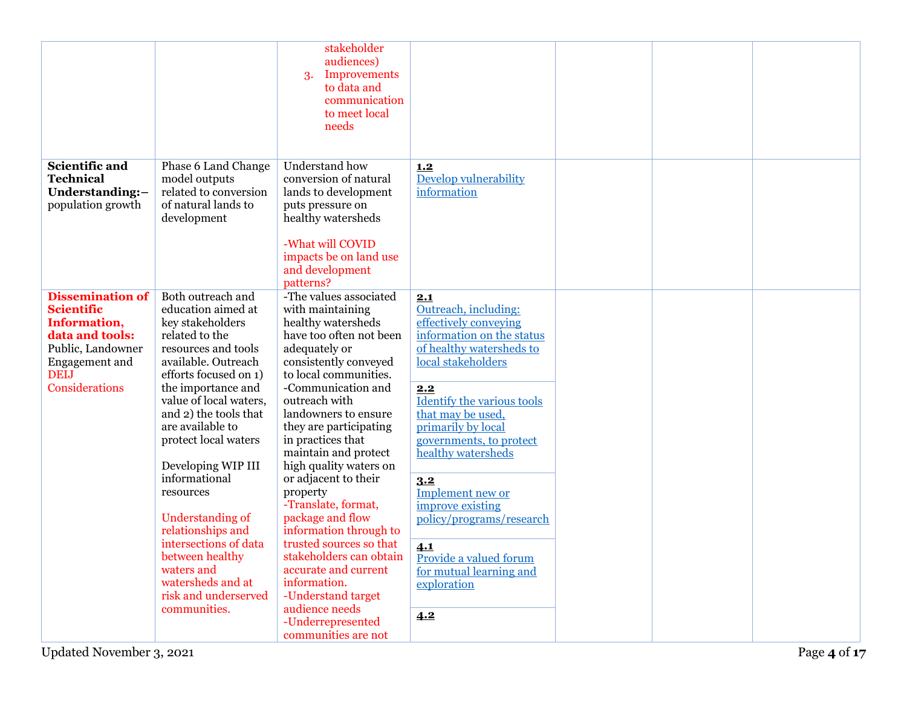|                                                                                                                                                         |                                                                                                                                                                                                                                                                                                                                                                                                                                                                                                      | stakeholder<br>audiences)<br><b>Improvements</b><br>3.<br>to data and<br>communication<br>to meet local<br>needs                                                                                                                                                                                                                                                                                                                                                                                                                                                                                                          |                                                                                                                                                                                                                                                                                                                                                                                                                                          |  |  |
|---------------------------------------------------------------------------------------------------------------------------------------------------------|------------------------------------------------------------------------------------------------------------------------------------------------------------------------------------------------------------------------------------------------------------------------------------------------------------------------------------------------------------------------------------------------------------------------------------------------------------------------------------------------------|---------------------------------------------------------------------------------------------------------------------------------------------------------------------------------------------------------------------------------------------------------------------------------------------------------------------------------------------------------------------------------------------------------------------------------------------------------------------------------------------------------------------------------------------------------------------------------------------------------------------------|------------------------------------------------------------------------------------------------------------------------------------------------------------------------------------------------------------------------------------------------------------------------------------------------------------------------------------------------------------------------------------------------------------------------------------------|--|--|
| Scientific and<br><b>Technical</b><br>Understanding:-<br>population growth                                                                              | Phase 6 Land Change<br>model outputs<br>related to conversion<br>of natural lands to<br>development                                                                                                                                                                                                                                                                                                                                                                                                  | Understand how<br>conversion of natural<br>lands to development<br>puts pressure on<br>healthy watersheds<br>-What will COVID<br>impacts be on land use<br>and development<br>patterns?                                                                                                                                                                                                                                                                                                                                                                                                                                   | 1.2<br>Develop vulnerability<br>information                                                                                                                                                                                                                                                                                                                                                                                              |  |  |
| <b>Dissemination of</b><br><b>Scientific</b><br>Information,<br>data and tools:<br>Public, Landowner<br>Engagement and<br><b>DEIJ</b><br>Considerations | Both outreach and<br>education aimed at<br>key stakeholders<br>related to the<br>resources and tools<br>available. Outreach<br>efforts focused on 1)<br>the importance and<br>value of local waters,<br>and 2) the tools that<br>are available to<br>protect local waters<br>Developing WIP III<br>informational<br>resources<br><b>Understanding of</b><br>relationships and<br>intersections of data<br>between healthy<br>waters and<br>watersheds and at<br>risk and underserved<br>communities. | -The values associated<br>with maintaining<br>healthy watersheds<br>have too often not been<br>adequately or<br>consistently conveyed<br>to local communities.<br>-Communication and<br>outreach with<br>landowners to ensure<br>they are participating<br>in practices that<br>maintain and protect<br>high quality waters on<br>or adjacent to their<br>property<br>-Translate, format,<br>package and flow<br>information through to<br>trusted sources so that<br>stakeholders can obtain<br>accurate and current<br>information.<br>-Understand target<br>audience needs<br>-Underrepresented<br>communities are not | 2.1<br>Outreach, including:<br>effectively conveying<br>information on the status<br>of healthy watersheds to<br>local stakeholders<br>2.2<br><b>Identify the various tools</b><br>that may be used.<br>primarily by local<br>governments, to protect<br>healthy watersheds<br>3.2<br>Implement new or<br>improve existing<br>policy/programs/research<br>4.1<br>Provide a valued forum<br>for mutual learning and<br>exploration<br>4.2 |  |  |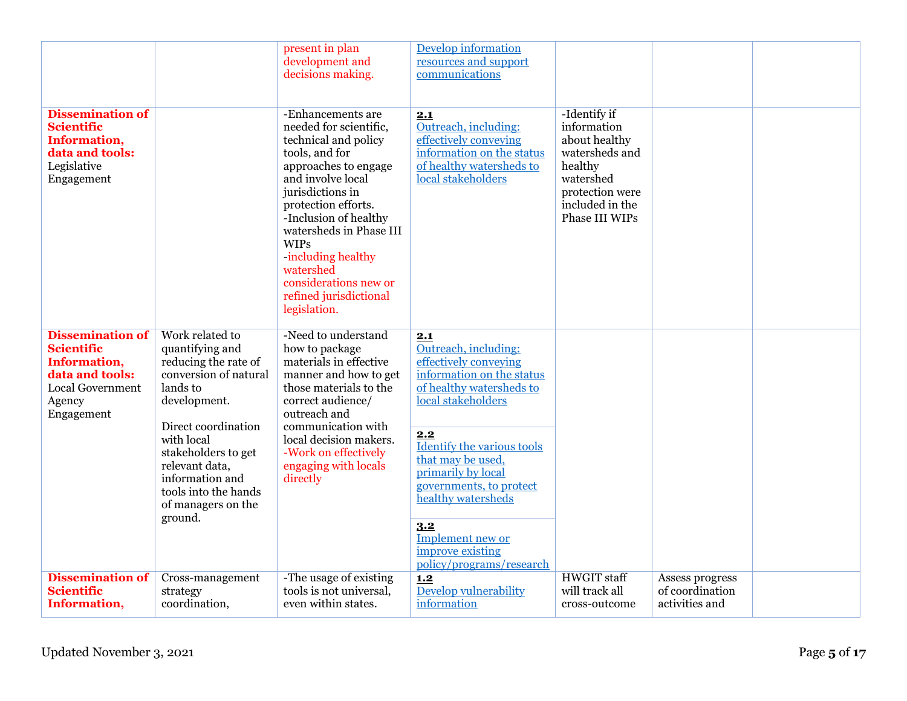|                                                                                                                                    |                                                                                                                                                                                                                                                                           | present in plan<br>development and<br>decisions making.                                                                                                                                                                                                                                                                                               | Develop information<br>resources and support<br>communications                                                                                                                                                                                                                                                                                  |                                                                                                                                                |                                                      |  |
|------------------------------------------------------------------------------------------------------------------------------------|---------------------------------------------------------------------------------------------------------------------------------------------------------------------------------------------------------------------------------------------------------------------------|-------------------------------------------------------------------------------------------------------------------------------------------------------------------------------------------------------------------------------------------------------------------------------------------------------------------------------------------------------|-------------------------------------------------------------------------------------------------------------------------------------------------------------------------------------------------------------------------------------------------------------------------------------------------------------------------------------------------|------------------------------------------------------------------------------------------------------------------------------------------------|------------------------------------------------------|--|
| <b>Dissemination of</b><br><b>Scientific</b><br>Information,<br>data and tools:<br>Legislative<br>Engagement                       |                                                                                                                                                                                                                                                                           | -Enhancements are<br>needed for scientific,<br>technical and policy<br>tools, and for<br>approaches to engage<br>and involve local<br>jurisdictions in<br>protection efforts.<br>-Inclusion of healthy<br>watersheds in Phase III<br><b>WIPs</b><br>including healthy<br>watershed<br>considerations new or<br>refined jurisdictional<br>legislation. | 2.1<br>Outreach, including:<br>effectively conveying<br>information on the status<br>of healthy watersheds to<br>local stakeholders                                                                                                                                                                                                             | -Identify if<br>information<br>about healthy<br>watersheds and<br>healthy<br>watershed<br>protection were<br>included in the<br>Phase III WIPs |                                                      |  |
| <b>Dissemination of</b><br><b>Scientific</b><br>Information,<br>data and tools:<br><b>Local Government</b><br>Agency<br>Engagement | Work related to<br>quantifying and<br>reducing the rate of<br>conversion of natural<br>lands to<br>development.<br>Direct coordination<br>with local<br>stakeholders to get<br>relevant data,<br>information and<br>tools into the hands<br>of managers on the<br>ground. | -Need to understand<br>how to package<br>materials in effective<br>manner and how to get<br>those materials to the<br>correct audience/<br>outreach and<br>communication with<br>local decision makers.<br>-Work on effectively<br>engaging with locals<br>directly                                                                                   | 2.1<br>Outreach, including:<br>effectively conveying<br>information on the status<br>of healthy watersheds to<br>local stakeholders<br>2.2<br>Identify the various tools<br>that may be used,<br>primarily by local<br>governments, to protect<br>healthy watersheds<br>3.2<br>Implement new or<br>improve existing<br>policy/programs/research |                                                                                                                                                |                                                      |  |
| <b>Dissemination of</b><br><b>Scientific</b><br>Information,                                                                       | Cross-management<br>strategy<br>coordination,                                                                                                                                                                                                                             | -The usage of existing<br>tools is not universal,<br>even within states.                                                                                                                                                                                                                                                                              | 1.2<br>Develop vulnerability<br>information                                                                                                                                                                                                                                                                                                     | <b>HWGIT</b> staff<br>will track all<br>cross-outcome                                                                                          | Assess progress<br>of coordination<br>activities and |  |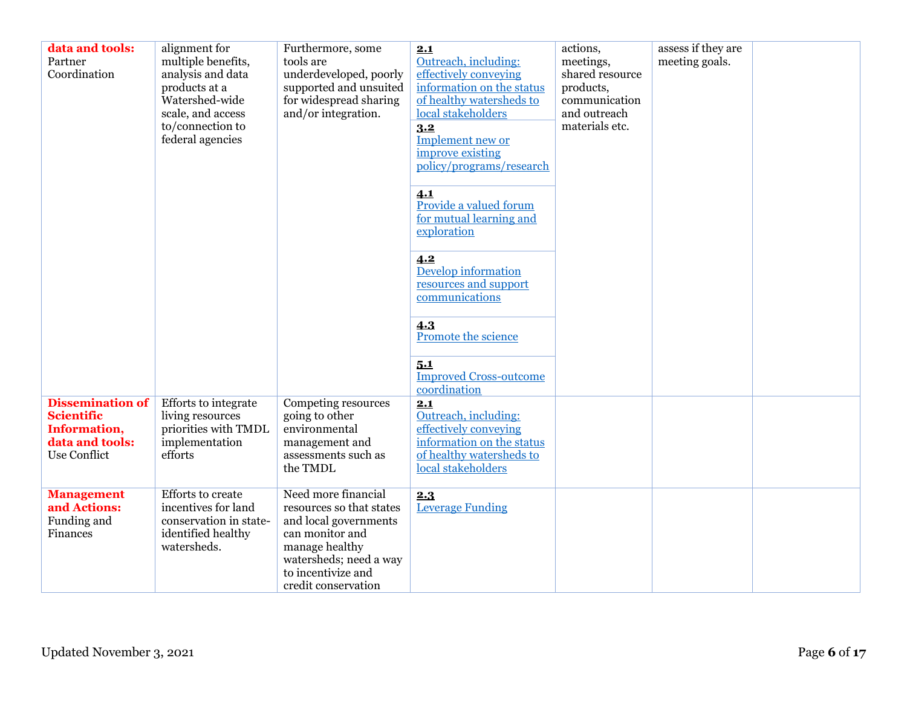| data and tools:<br>Partner<br>Coordination                                                      | alignment for<br>multiple benefits,<br>analysis and data<br>products at a<br>Watershed-wide<br>scale, and access<br>to/connection to<br>federal agencies | Furthermore, some<br>tools are<br>underdeveloped, poorly<br>supported and unsuited<br>for widespread sharing<br>and/or integration.                                                  | 2.1<br>Outreach, including:<br>effectively conveying<br>information on the status<br>of healthy watersheds to<br>local stakeholders<br>3.2<br>Implement new or<br>improve existing<br>policy/programs/research<br>4.1<br>Provide a valued forum<br>for mutual learning and<br>exploration<br>4.2<br>Develop information<br>resources and support<br>communications<br>4.3<br>Promote the science<br>5.1<br><b>Improved Cross-outcome</b> | actions,<br>meetings,<br>shared resource<br>products,<br>communication<br>and outreach<br>materials etc. | assess if they are<br>meeting goals. |  |
|-------------------------------------------------------------------------------------------------|----------------------------------------------------------------------------------------------------------------------------------------------------------|--------------------------------------------------------------------------------------------------------------------------------------------------------------------------------------|------------------------------------------------------------------------------------------------------------------------------------------------------------------------------------------------------------------------------------------------------------------------------------------------------------------------------------------------------------------------------------------------------------------------------------------|----------------------------------------------------------------------------------------------------------|--------------------------------------|--|
| <b>Dissemination of</b><br><b>Scientific</b><br>Information,<br>data and tools:<br>Use Conflict | Efforts to integrate<br>living resources<br>priorities with TMDL<br>implementation<br>efforts                                                            | Competing resources<br>going to other<br>environmental<br>management and<br>assessments such as<br>the TMDL                                                                          | coordination<br>2.1<br>Outreach, including:<br>effectively conveying<br>information on the status<br>of healthy watersheds to<br>local stakeholders                                                                                                                                                                                                                                                                                      |                                                                                                          |                                      |  |
| <b>Management</b><br>and Actions:<br>Funding and<br>Finances                                    | <b>Efforts</b> to create<br>incentives for land<br>conservation in state-<br>identified healthy<br>watersheds.                                           | Need more financial<br>resources so that states<br>and local governments<br>can monitor and<br>manage healthy<br>watersheds; need a way<br>to incentivize and<br>credit conservation | 2.3<br><b>Leverage Funding</b>                                                                                                                                                                                                                                                                                                                                                                                                           |                                                                                                          |                                      |  |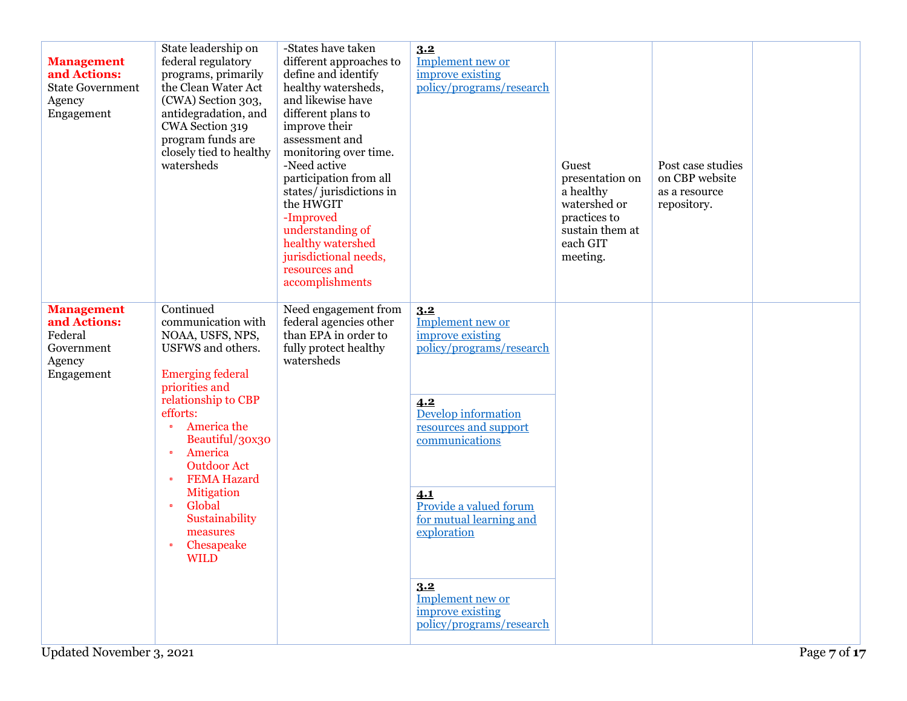| <b>Management</b><br>and Actions:<br><b>State Government</b><br>Agency<br>Engagement | State leadership on<br>federal regulatory<br>programs, primarily<br>the Clean Water Act<br>(CWA) Section 303,<br>antidegradation, and<br>CWA Section 319<br>program funds are<br>closely tied to healthy<br>watersheds                                                                                                                                                                               | -States have taken<br>different approaches to<br>define and identify<br>healthy watersheds,<br>and likewise have<br>different plans to<br>improve their<br>assessment and<br>monitoring over time.<br>-Need active<br>participation from all<br>states/jurisdictions in<br>the HWGIT<br>-Improved<br>understanding of<br>healthy watershed<br>jurisdictional needs,<br>resources and<br>accomplishments | 3.2<br>Implement new or<br>improve existing<br>policy/programs/research                                                                                                                                                                                                                                | Guest<br>presentation on<br>a healthy<br>watershed or<br>practices to<br>sustain them at<br>each GIT<br>meeting. | Post case studies<br>on CBP website<br>as a resource<br>repository. |  |
|--------------------------------------------------------------------------------------|------------------------------------------------------------------------------------------------------------------------------------------------------------------------------------------------------------------------------------------------------------------------------------------------------------------------------------------------------------------------------------------------------|---------------------------------------------------------------------------------------------------------------------------------------------------------------------------------------------------------------------------------------------------------------------------------------------------------------------------------------------------------------------------------------------------------|--------------------------------------------------------------------------------------------------------------------------------------------------------------------------------------------------------------------------------------------------------------------------------------------------------|------------------------------------------------------------------------------------------------------------------|---------------------------------------------------------------------|--|
| <b>Management</b><br>and Actions:<br>Federal<br>Government<br>Agency<br>Engagement   | Continued<br>communication with<br>NOAA, USFS, NPS,<br>USFWS and others.<br><b>Emerging federal</b><br>priorities and<br>relationship to CBP<br>efforts:<br>America the<br>$\bullet$<br>Beautiful/30x30<br>America<br>$\bullet$<br><b>Outdoor Act</b><br><b>FEMA Hazard</b><br>$\bullet$<br><b>Mitigation</b><br>Global<br>$\bullet$<br>Sustainability<br>measures<br>Chesapeake<br>٠<br><b>WILD</b> | Need engagement from<br>federal agencies other<br>than EPA in order to<br>fully protect healthy<br>watersheds                                                                                                                                                                                                                                                                                           | 3.2<br>Implement new or<br>improve existing<br>policy/programs/research<br>4.2<br>Develop information<br>resources and support<br>communications<br>4.1<br>Provide a valued forum<br>for mutual learning and<br>exploration<br>3.2<br>Implement new or<br>improve existing<br>policy/programs/research |                                                                                                                  |                                                                     |  |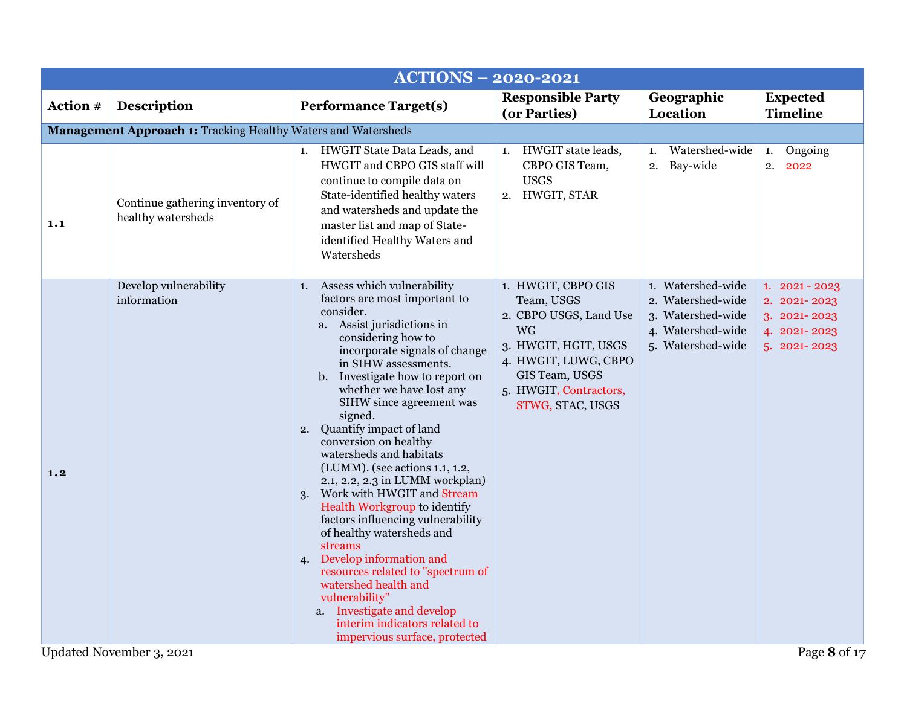<span id="page-7-1"></span><span id="page-7-0"></span>

|          | <b>ACTIONS - 2020-2021</b>                                           |                                                                                                                                                                                                                                                                                                                                                                                                                                                                                                                                                                                                                                                                                                                                                                                                                                       |                                                                                                                                                                                         |                                                                                                       |                                                                                 |  |  |
|----------|----------------------------------------------------------------------|---------------------------------------------------------------------------------------------------------------------------------------------------------------------------------------------------------------------------------------------------------------------------------------------------------------------------------------------------------------------------------------------------------------------------------------------------------------------------------------------------------------------------------------------------------------------------------------------------------------------------------------------------------------------------------------------------------------------------------------------------------------------------------------------------------------------------------------|-----------------------------------------------------------------------------------------------------------------------------------------------------------------------------------------|-------------------------------------------------------------------------------------------------------|---------------------------------------------------------------------------------|--|--|
| Action # | <b>Description</b>                                                   | <b>Performance Target(s)</b>                                                                                                                                                                                                                                                                                                                                                                                                                                                                                                                                                                                                                                                                                                                                                                                                          | <b>Responsible Party</b><br>(or Parties)                                                                                                                                                | Geographic<br>Location                                                                                | <b>Expected</b><br><b>Timeline</b>                                              |  |  |
|          | <b>Management Approach 1: Tracking Healthy Waters and Watersheds</b> |                                                                                                                                                                                                                                                                                                                                                                                                                                                                                                                                                                                                                                                                                                                                                                                                                                       |                                                                                                                                                                                         |                                                                                                       |                                                                                 |  |  |
| 1.1      | Continue gathering inventory of<br>healthy watersheds                | 1. HWGIT State Data Leads, and<br>HWGIT and CBPO GIS staff will<br>continue to compile data on<br>State-identified healthy waters<br>and watersheds and update the<br>master list and map of State-<br>identified Healthy Waters and<br>Watersheds                                                                                                                                                                                                                                                                                                                                                                                                                                                                                                                                                                                    | HWGIT state leads,<br>1.<br>CBPO GIS Team,<br><b>USGS</b><br>2. HWGIT, STAR                                                                                                             | Watershed-wide<br>1.<br>Bay-wide<br>2.                                                                | Ongoing<br>1.<br>2.<br>2022                                                     |  |  |
| 1.2      | Develop vulnerability<br>information                                 | Assess which vulnerability<br>1.<br>factors are most important to<br>consider.<br>a. Assist jurisdictions in<br>considering how to<br>incorporate signals of change<br>in SIHW assessments.<br>Investigate how to report on<br>$\mathbf{b}$ .<br>whether we have lost any<br>SIHW since agreement was<br>signed.<br>2. Quantify impact of land<br>conversion on healthy<br>watersheds and habitats<br>(LUMM). (see actions 1.1, 1.2,<br>2.1, 2.2, 2.3 in LUMM workplan)<br>Work with HWGIT and Stream<br>3.<br>Health Workgroup to identify<br>factors influencing vulnerability<br>of healthy watersheds and<br>streams<br>4. Develop information and<br>resources related to "spectrum of<br>watershed health and<br>vulnerability"<br>a. Investigate and develop<br>interim indicators related to<br>impervious surface, protected | 1. HWGIT, CBPO GIS<br>Team, USGS<br>2. CBPO USGS, Land Use<br><b>WG</b><br>3. HWGIT, HGIT, USGS<br>4. HWGIT, LUWG, CBPO<br>GIS Team, USGS<br>5. HWGIT, Contractors,<br>STWG, STAC, USGS | 1. Watershed-wide<br>2. Watershed-wide<br>3. Watershed-wide<br>4. Watershed-wide<br>5. Watershed-wide | $1.2021 - 2023$<br>2. 2021-2023<br>3. 2021-2023<br>4. 2021-2023<br>5. 2021-2023 |  |  |
|          | Updated November 3, 2021                                             |                                                                                                                                                                                                                                                                                                                                                                                                                                                                                                                                                                                                                                                                                                                                                                                                                                       |                                                                                                                                                                                         |                                                                                                       | Page 8 of 17                                                                    |  |  |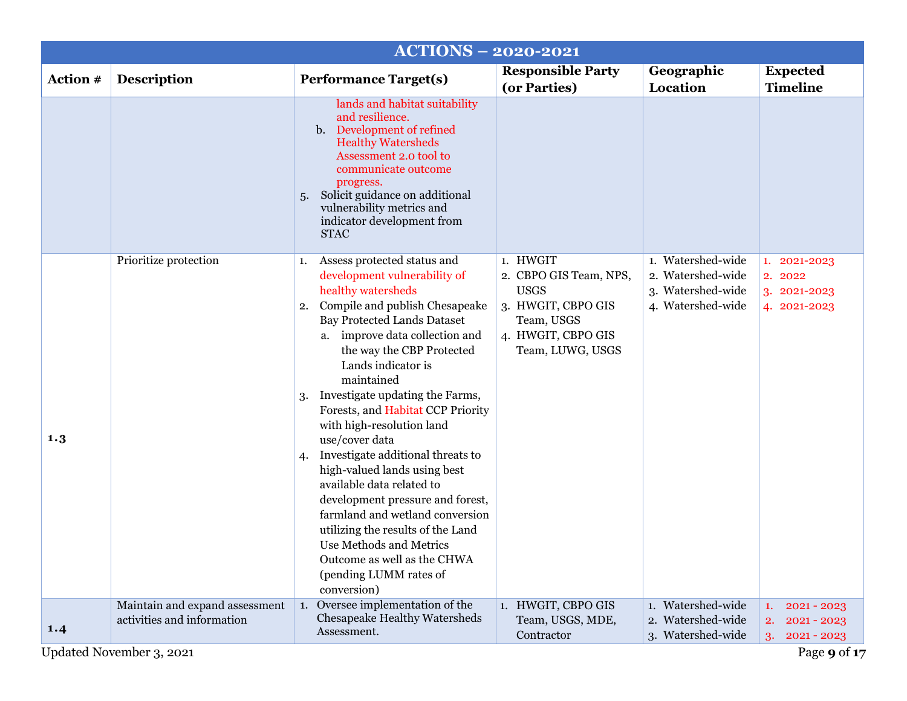<span id="page-8-1"></span><span id="page-8-0"></span>

|          |                                                              | <b>ACTIONS - 2020-2021</b>                                                                                                                                                                                                                                                                                                                                                                                                                                                                                                                                                                                                                                                                                                   |                                                                                                                                 |                                                                                  |                                                                   |
|----------|--------------------------------------------------------------|------------------------------------------------------------------------------------------------------------------------------------------------------------------------------------------------------------------------------------------------------------------------------------------------------------------------------------------------------------------------------------------------------------------------------------------------------------------------------------------------------------------------------------------------------------------------------------------------------------------------------------------------------------------------------------------------------------------------------|---------------------------------------------------------------------------------------------------------------------------------|----------------------------------------------------------------------------------|-------------------------------------------------------------------|
| Action # | <b>Description</b>                                           | <b>Performance Target(s)</b>                                                                                                                                                                                                                                                                                                                                                                                                                                                                                                                                                                                                                                                                                                 | <b>Responsible Party</b><br>(or Parties)                                                                                        | Geographic<br>Location                                                           | <b>Expected</b><br><b>Timeline</b>                                |
|          |                                                              | lands and habitat suitability<br>and resilience.<br>Development of refined<br>$\mathbf{b}$ .<br><b>Healthy Watersheds</b><br>Assessment 2.0 tool to<br>communicate outcome<br>progress.<br>Solicit guidance on additional<br>5.<br>vulnerability metrics and<br>indicator development from<br><b>STAC</b>                                                                                                                                                                                                                                                                                                                                                                                                                    |                                                                                                                                 |                                                                                  |                                                                   |
| 1.3      | Prioritize protection                                        | Assess protected status and<br>1.<br>development vulnerability of<br>healthy watersheds<br>Compile and publish Chesapeake<br>2.<br><b>Bay Protected Lands Dataset</b><br>a. improve data collection and<br>the way the CBP Protected<br>Lands indicator is<br>maintained<br>Investigate updating the Farms,<br>3.<br>Forests, and Habitat CCP Priority<br>with high-resolution land<br>use/cover data<br>Investigate additional threats to<br>4.<br>high-valued lands using best<br>available data related to<br>development pressure and forest,<br>farmland and wetland conversion<br>utilizing the results of the Land<br>Use Methods and Metrics<br>Outcome as well as the CHWA<br>(pending LUMM rates of<br>conversion) | 1. HWGIT<br>2. CBPO GIS Team, NPS,<br><b>USGS</b><br>3. HWGIT, CBPO GIS<br>Team, USGS<br>4. HWGIT, CBPO GIS<br>Team, LUWG, USGS | 1. Watershed-wide<br>2. Watershed-wide<br>3. Watershed-wide<br>4. Watershed-wide | 1. 2021-2023<br>2. 2022<br>3. 2021-2023<br>4. 2021-2023           |
| 1.4      | Maintain and expand assessment<br>activities and information | 1. Oversee implementation of the<br>Chesapeake Healthy Watersheds<br>Assessment.                                                                                                                                                                                                                                                                                                                                                                                                                                                                                                                                                                                                                                             | 1. HWGIT, CBPO GIS<br>Team, USGS, MDE,<br>Contractor                                                                            | 1. Watershed-wide<br>2. Watershed-wide<br>3. Watershed-wide                      | $2021 - 2023$<br>1.<br>$2021 - 2023$<br>2.<br>$2021 - 2023$<br>3. |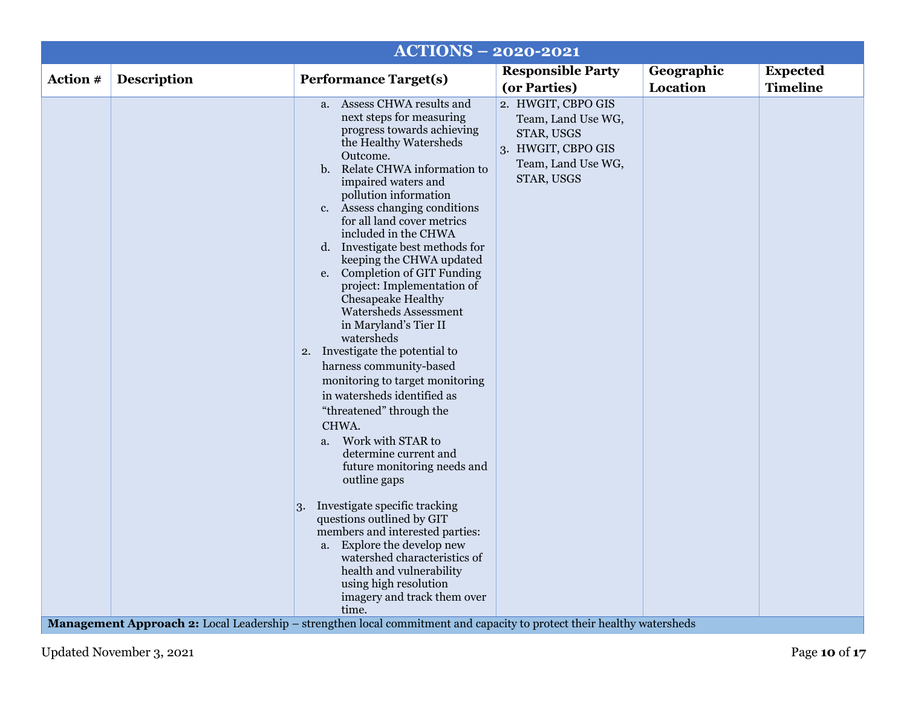|          |                    | <b>ACTIONS - 2020-2021</b>                                                                                                                                                                                                                                                                                                                                                                                                                                                                                                                                                                                                                                                                                                                                                                                                                                                                                                                                                                                                                                                           |                                                                                                                  |                        |                                    |
|----------|--------------------|--------------------------------------------------------------------------------------------------------------------------------------------------------------------------------------------------------------------------------------------------------------------------------------------------------------------------------------------------------------------------------------------------------------------------------------------------------------------------------------------------------------------------------------------------------------------------------------------------------------------------------------------------------------------------------------------------------------------------------------------------------------------------------------------------------------------------------------------------------------------------------------------------------------------------------------------------------------------------------------------------------------------------------------------------------------------------------------|------------------------------------------------------------------------------------------------------------------|------------------------|------------------------------------|
| Action # | <b>Description</b> | <b>Performance Target(s)</b>                                                                                                                                                                                                                                                                                                                                                                                                                                                                                                                                                                                                                                                                                                                                                                                                                                                                                                                                                                                                                                                         | <b>Responsible Party</b><br>(or Parties)                                                                         | Geographic<br>Location | <b>Expected</b><br><b>Timeline</b> |
|          |                    | a. Assess CHWA results and<br>next steps for measuring<br>progress towards achieving<br>the Healthy Watersheds<br>Outcome.<br>b. Relate CHWA information to<br>impaired waters and<br>pollution information<br>Assess changing conditions<br>$c_{\cdot}$<br>for all land cover metrics<br>included in the CHWA<br>d. Investigate best methods for<br>keeping the CHWA updated<br>e. Completion of GIT Funding<br>project: Implementation of<br>Chesapeake Healthy<br>Watersheds Assessment<br>in Maryland's Tier II<br>watersheds<br>2. Investigate the potential to<br>harness community-based<br>monitoring to target monitoring<br>in watersheds identified as<br>"threatened" through the<br>CHWA.<br>Work with STAR to<br>$a_{\cdot}$<br>determine current and<br>future monitoring needs and<br>outline gaps<br>Investigate specific tracking<br>3.<br>questions outlined by GIT<br>members and interested parties:<br>a. Explore the develop new<br>watershed characteristics of<br>health and vulnerability<br>using high resolution<br>imagery and track them over<br>time. | 2. HWGIT, CBPO GIS<br>Team, Land Use WG,<br>STAR, USGS<br>3. HWGIT, CBPO GIS<br>Team, Land Use WG,<br>STAR, USGS |                        |                                    |
|          |                    | <b>Management Approach 2:</b> Local Leadership – strengthen local commitment and capacity to protect their healthy watersheds                                                                                                                                                                                                                                                                                                                                                                                                                                                                                                                                                                                                                                                                                                                                                                                                                                                                                                                                                        |                                                                                                                  |                        |                                    |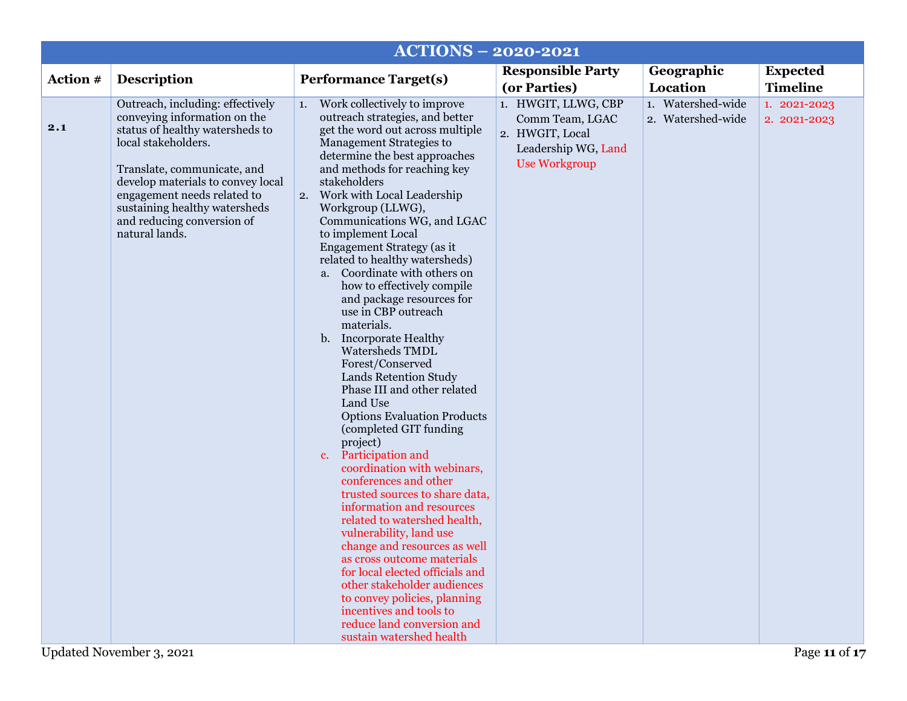<span id="page-10-0"></span>

|          |                                                                                                                                                                                                                                                                                                                | <b>ACTIONS - 2020-2021</b>                                                                                                                                                                                                                                                                                                                                                                                                                                                                                                                                                                                                                                                                                                                                                                                                                                                                                                                                                                                                                                                                                                                                                                                        |                                                                                                          |                                        |                                    |
|----------|----------------------------------------------------------------------------------------------------------------------------------------------------------------------------------------------------------------------------------------------------------------------------------------------------------------|-------------------------------------------------------------------------------------------------------------------------------------------------------------------------------------------------------------------------------------------------------------------------------------------------------------------------------------------------------------------------------------------------------------------------------------------------------------------------------------------------------------------------------------------------------------------------------------------------------------------------------------------------------------------------------------------------------------------------------------------------------------------------------------------------------------------------------------------------------------------------------------------------------------------------------------------------------------------------------------------------------------------------------------------------------------------------------------------------------------------------------------------------------------------------------------------------------------------|----------------------------------------------------------------------------------------------------------|----------------------------------------|------------------------------------|
| Action # | <b>Description</b>                                                                                                                                                                                                                                                                                             | <b>Performance Target(s)</b>                                                                                                                                                                                                                                                                                                                                                                                                                                                                                                                                                                                                                                                                                                                                                                                                                                                                                                                                                                                                                                                                                                                                                                                      | <b>Responsible Party</b><br>(or Parties)                                                                 | Geographic<br>Location                 | <b>Expected</b><br><b>Timeline</b> |
| 2.1      | Outreach, including: effectively<br>conveying information on the<br>status of healthy watersheds to<br>local stakeholders.<br>Translate, communicate, and<br>develop materials to convey local<br>engagement needs related to<br>sustaining healthy watersheds<br>and reducing conversion of<br>natural lands. | 1. Work collectively to improve<br>outreach strategies, and better<br>get the word out across multiple<br>Management Strategies to<br>determine the best approaches<br>and methods for reaching key<br>stakeholders<br>2. Work with Local Leadership<br>Workgroup (LLWG),<br>Communications WG, and LGAC<br>to implement Local<br>Engagement Strategy (as it<br>related to healthy watersheds)<br>a. Coordinate with others on<br>how to effectively compile<br>and package resources for<br>use in CBP outreach<br>materials.<br>b. Incorporate Healthy<br>Watersheds TMDL<br>Forest/Conserved<br>Lands Retention Study<br>Phase III and other related<br>Land Use<br><b>Options Evaluation Products</b><br>(completed GIT funding<br>project)<br>Participation and<br>c.<br>coordination with webinars,<br>conferences and other<br>trusted sources to share data,<br>information and resources<br>related to watershed health,<br>vulnerability, land use<br>change and resources as well<br>as cross outcome materials<br>for local elected officials and<br>other stakeholder audiences<br>to convey policies, planning<br>incentives and tools to<br>reduce land conversion and<br>sustain watershed health | 1. HWGIT, LLWG, CBP<br>Comm Team, LGAC<br>2. HWGIT, Local<br>Leadership WG, Land<br><b>Use Workgroup</b> | 1. Watershed-wide<br>2. Watershed-wide | 1. 2021-2023<br>2. 2021-2023       |
|          | Updated November 3, 2021                                                                                                                                                                                                                                                                                       |                                                                                                                                                                                                                                                                                                                                                                                                                                                                                                                                                                                                                                                                                                                                                                                                                                                                                                                                                                                                                                                                                                                                                                                                                   |                                                                                                          |                                        | Page 11 of 17                      |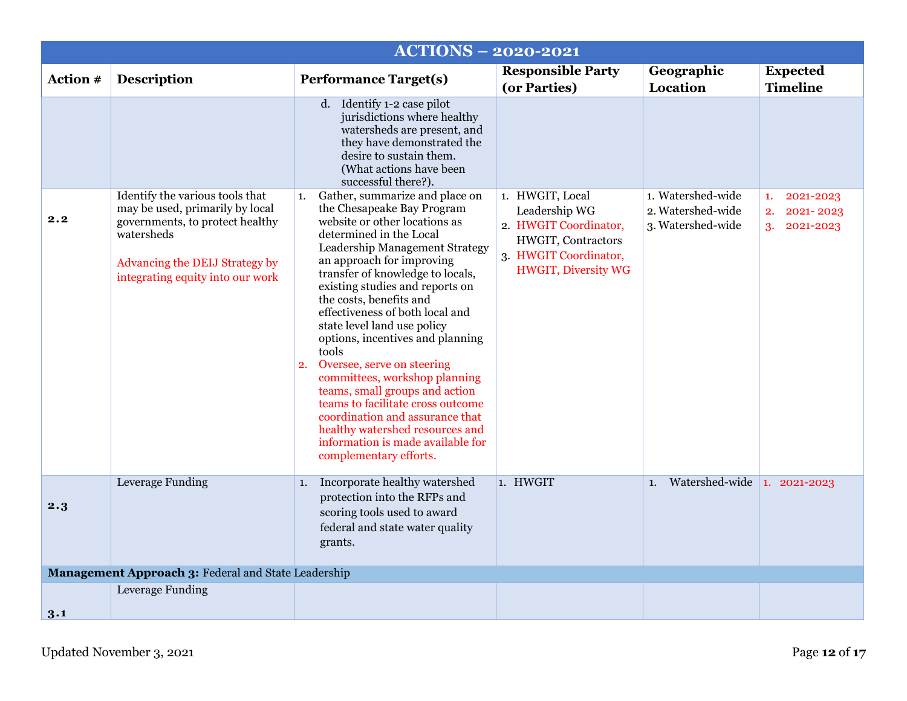<span id="page-11-1"></span><span id="page-11-0"></span>

|          |                                                                                                                                                                                           | <b>ACTIONS - 2020-2021</b>                                                                                                                                                                                                                                                                                                                                                                                                                                                                                                                                                                                                                                                                      |                                                                                                                                        |                                                             |                                                       |
|----------|-------------------------------------------------------------------------------------------------------------------------------------------------------------------------------------------|-------------------------------------------------------------------------------------------------------------------------------------------------------------------------------------------------------------------------------------------------------------------------------------------------------------------------------------------------------------------------------------------------------------------------------------------------------------------------------------------------------------------------------------------------------------------------------------------------------------------------------------------------------------------------------------------------|----------------------------------------------------------------------------------------------------------------------------------------|-------------------------------------------------------------|-------------------------------------------------------|
| Action # | Description                                                                                                                                                                               | <b>Performance Target(s)</b>                                                                                                                                                                                                                                                                                                                                                                                                                                                                                                                                                                                                                                                                    | <b>Responsible Party</b><br>(or Parties)                                                                                               | Geographic<br>Location                                      | <b>Expected</b><br><b>Timeline</b>                    |
|          |                                                                                                                                                                                           | d. Identify 1-2 case pilot<br>jurisdictions where healthy<br>watersheds are present, and<br>they have demonstrated the<br>desire to sustain them.<br>(What actions have been<br>successful there?).                                                                                                                                                                                                                                                                                                                                                                                                                                                                                             |                                                                                                                                        |                                                             |                                                       |
| 2.2      | Identify the various tools that<br>may be used, primarily by local<br>governments, to protect healthy<br>watersheds<br>Advancing the DEIJ Strategy by<br>integrating equity into our work | Gather, summarize and place on<br>1.<br>the Chesapeake Bay Program<br>website or other locations as<br>determined in the Local<br>Leadership Management Strategy<br>an approach for improving<br>transfer of knowledge to locals,<br>existing studies and reports on<br>the costs, benefits and<br>effectiveness of both local and<br>state level land use policy<br>options, incentives and planning<br>tools<br>Oversee, serve on steering<br>2.<br>committees, workshop planning<br>teams, small groups and action<br>teams to facilitate cross outcome<br>coordination and assurance that<br>healthy watershed resources and<br>information is made available for<br>complementary efforts. | 1. HWGIT, Local<br>Leadership WG<br>2. HWGIT Coordinator,<br>HWGIT, Contractors<br>3. HWGIT Coordinator,<br><b>HWGIT, Diversity WG</b> | 1. Watershed-wide<br>2. Watershed-wide<br>3. Watershed-wide | 2021-2023<br>1.<br>2021-2023<br>2.<br>2021-2023<br>3. |
| 2.3      | Leverage Funding                                                                                                                                                                          | Incorporate healthy watershed<br>1.<br>protection into the RFPs and<br>scoring tools used to award<br>federal and state water quality<br>grants.                                                                                                                                                                                                                                                                                                                                                                                                                                                                                                                                                | 1. HWGIT                                                                                                                               | Watershed-wide<br>1.                                        | 1. 2021-2023                                          |
|          | Management Approach 3: Federal and State Leadership                                                                                                                                       |                                                                                                                                                                                                                                                                                                                                                                                                                                                                                                                                                                                                                                                                                                 |                                                                                                                                        |                                                             |                                                       |
|          | Leverage Funding                                                                                                                                                                          |                                                                                                                                                                                                                                                                                                                                                                                                                                                                                                                                                                                                                                                                                                 |                                                                                                                                        |                                                             |                                                       |
| 3.1      |                                                                                                                                                                                           |                                                                                                                                                                                                                                                                                                                                                                                                                                                                                                                                                                                                                                                                                                 |                                                                                                                                        |                                                             |                                                       |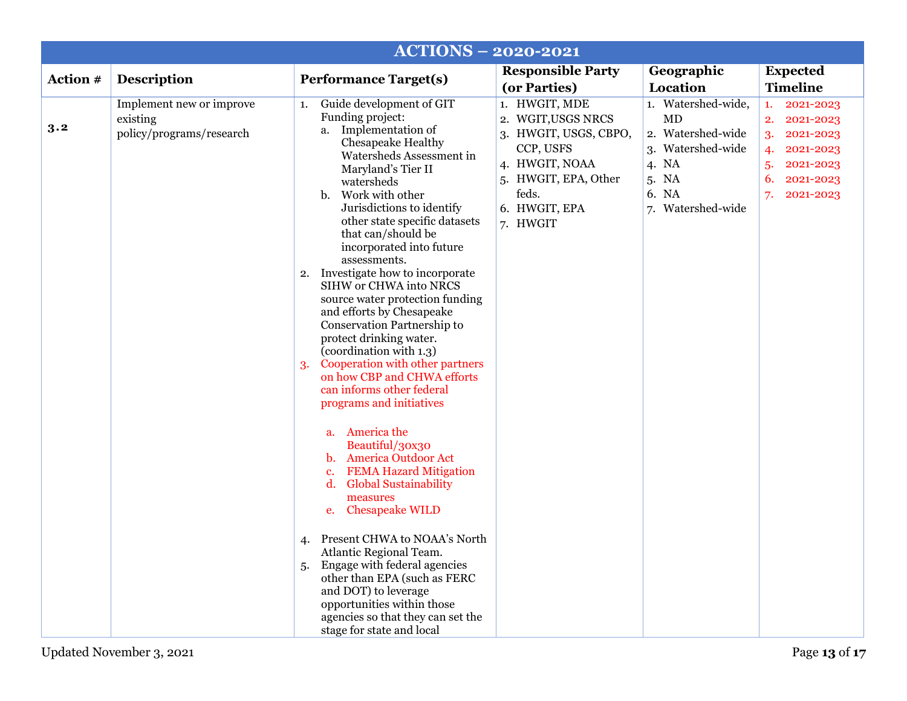<span id="page-12-0"></span>

|          |                                                                  | <b>ACTIONS - 2020-2021</b>                                                                                                                                                                                                                                                                                                                                                                                                                                                                                                                                                                                                                                                                                                                                                                                                                                                                                                        |                                                                                                                                                           |                                                                                                                    |                                                                                                                                   |
|----------|------------------------------------------------------------------|-----------------------------------------------------------------------------------------------------------------------------------------------------------------------------------------------------------------------------------------------------------------------------------------------------------------------------------------------------------------------------------------------------------------------------------------------------------------------------------------------------------------------------------------------------------------------------------------------------------------------------------------------------------------------------------------------------------------------------------------------------------------------------------------------------------------------------------------------------------------------------------------------------------------------------------|-----------------------------------------------------------------------------------------------------------------------------------------------------------|--------------------------------------------------------------------------------------------------------------------|-----------------------------------------------------------------------------------------------------------------------------------|
| Action # | <b>Description</b>                                               | <b>Performance Target(s)</b>                                                                                                                                                                                                                                                                                                                                                                                                                                                                                                                                                                                                                                                                                                                                                                                                                                                                                                      | <b>Responsible Party</b><br>(or Parties)                                                                                                                  | Geographic<br>Location                                                                                             | <b>Expected</b><br><b>Timeline</b>                                                                                                |
| 3.2      | Implement new or improve<br>existing<br>policy/programs/research | Guide development of GIT<br>1.<br>Funding project:<br>a. Implementation of<br>Chesapeake Healthy<br>Watersheds Assessment in<br>Maryland's Tier II<br>watersheds<br>b. Work with other<br>Jurisdictions to identify<br>other state specific datasets<br>that can/should be<br>incorporated into future<br>assessments.<br>Investigate how to incorporate<br>2.<br>SIHW or CHWA into NRCS<br>source water protection funding<br>and efforts by Chesapeake<br>Conservation Partnership to<br>protect drinking water.<br>(coordination with 1.3)<br>Cooperation with other partners<br>3.<br>on how CBP and CHWA efforts<br>can informs other federal<br>programs and initiatives<br>a. America the<br>Beautiful/30x30<br>b. America Outdoor Act<br><b>FEMA Hazard Mitigation</b><br>$c_{\cdot}$<br>$\mathbf{d}$ .<br><b>Global Sustainability</b><br>measures<br><b>Chesapeake WILD</b><br>e.<br>Present CHWA to NOAA's North<br>4. | 1. HWGIT, MDE<br>2. WGIT, USGS NRCS<br>3. HWGIT, USGS, CBPO,<br>CCP, USFS<br>4. HWGIT, NOAA<br>5. HWGIT, EPA, Other<br>feds.<br>6. HWGIT, EPA<br>7. HWGIT | 1. Watershed-wide,<br>MD<br>2. Watershed-wide<br>3. Watershed-wide<br>4. NA<br>5. NA<br>6. NA<br>7. Watershed-wide | 2021-2023<br>1.<br>2021-2023<br>2.<br>2021-2023<br>3.<br>2021-2023<br>4.<br>2021-2023<br>5.<br>6.<br>2021-2023<br>7.<br>2021-2023 |
|          |                                                                  | Atlantic Regional Team.<br>5. Engage with federal agencies<br>other than EPA (such as FERC<br>and DOT) to leverage<br>opportunities within those<br>agencies so that they can set the<br>stage for state and local                                                                                                                                                                                                                                                                                                                                                                                                                                                                                                                                                                                                                                                                                                                |                                                                                                                                                           |                                                                                                                    |                                                                                                                                   |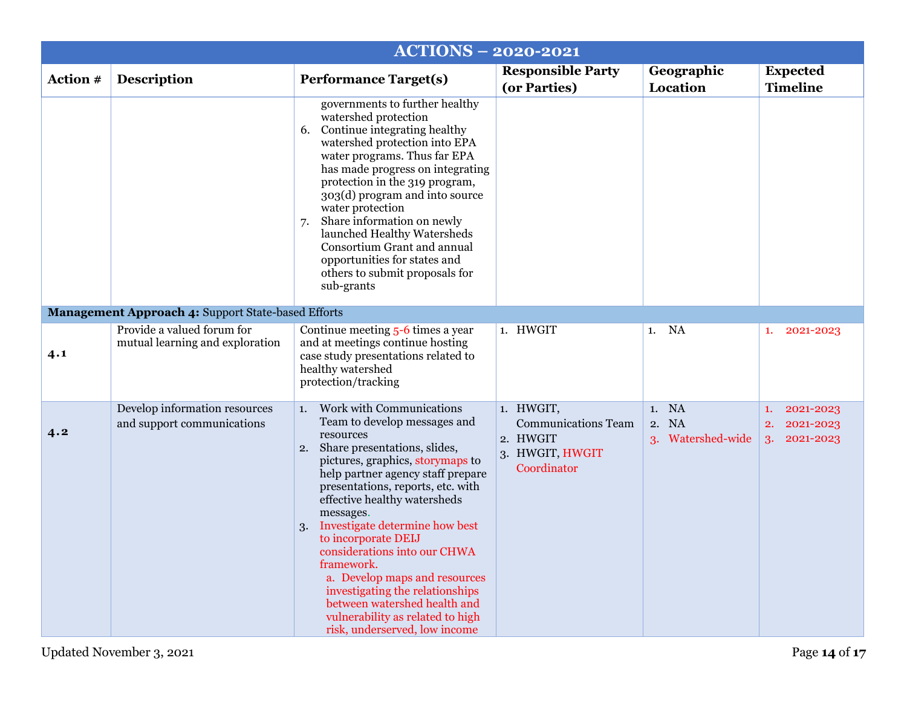<span id="page-13-1"></span><span id="page-13-0"></span>

| <b>ACTIONS - 2020-2021</b>                         |                                                               |                                                                                                                                                                                                                                                                                                                                                                                                                                                                                                                                                                 |                                                                                       |                                                            |                                                       |  |
|----------------------------------------------------|---------------------------------------------------------------|-----------------------------------------------------------------------------------------------------------------------------------------------------------------------------------------------------------------------------------------------------------------------------------------------------------------------------------------------------------------------------------------------------------------------------------------------------------------------------------------------------------------------------------------------------------------|---------------------------------------------------------------------------------------|------------------------------------------------------------|-------------------------------------------------------|--|
| Action #                                           | <b>Description</b>                                            | <b>Performance Target(s)</b>                                                                                                                                                                                                                                                                                                                                                                                                                                                                                                                                    | <b>Responsible Party</b><br>(or Parties)                                              | Geographic<br>Location                                     | <b>Expected</b><br><b>Timeline</b>                    |  |
|                                                    |                                                               | governments to further healthy<br>watershed protection<br>Continue integrating healthy<br>6.<br>watershed protection into EPA<br>water programs. Thus far EPA<br>has made progress on integrating<br>protection in the 319 program,<br>303(d) program and into source<br>water protection<br>Share information on newly<br>7.<br>launched Healthy Watersheds<br>Consortium Grant and annual<br>opportunities for states and<br>others to submit proposals for<br>sub-grants                                                                                     |                                                                                       |                                                            |                                                       |  |
| Management Approach 4: Support State-based Efforts |                                                               |                                                                                                                                                                                                                                                                                                                                                                                                                                                                                                                                                                 |                                                                                       |                                                            |                                                       |  |
| 4.1                                                | Provide a valued forum for<br>mutual learning and exploration | Continue meeting 5-6 times a year<br>and at meetings continue hosting<br>case study presentations related to<br>healthy watershed<br>protection/tracking                                                                                                                                                                                                                                                                                                                                                                                                        | 1. HWGIT                                                                              | 1. NA                                                      | 2021-2023<br>1.                                       |  |
| 4.2                                                | Develop information resources<br>and support communications   | Work with Communications<br>1.<br>Team to develop messages and<br>resources<br>2. Share presentations, slides,<br>pictures, graphics, storymaps to<br>help partner agency staff prepare<br>presentations, reports, etc. with<br>effective healthy watersheds<br>messages.<br>Investigate determine how best<br>3.<br>to incorporate DEIJ<br>considerations into our CHWA<br>framework.<br>a. Develop maps and resources<br>investigating the relationships<br>between watershed health and<br>vulnerability as related to high<br>risk, underserved, low income | 1. HWGIT,<br><b>Communications Team</b><br>2. HWGIT<br>3. HWGIT, HWGIT<br>Coordinator | <b>NA</b><br>1.<br><b>NA</b><br>2.<br>Watershed-wide<br>3. | 2021-2023<br>1.<br>2021-2023<br>2.<br>3.<br>2021-2023 |  |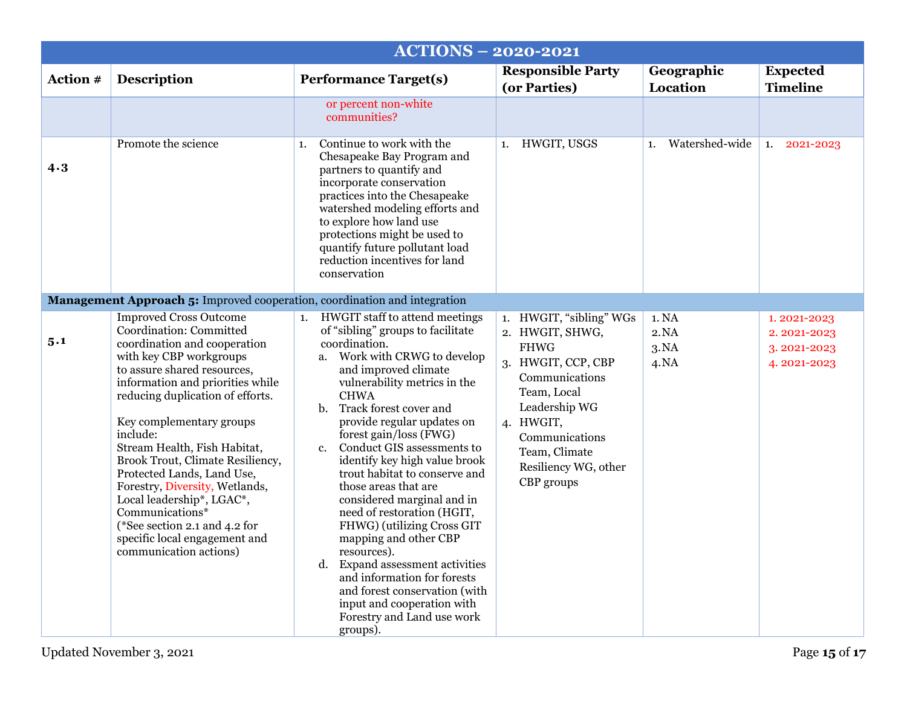<span id="page-14-1"></span><span id="page-14-0"></span>

|          | <b>ACTIONS - 2020-2021</b>                                                                                                                                                                                                                                                                                                                                                                                                                                                                                                                         |                                                                                                                                                                                                                                                                                                                                                                                                                                                                                                                                                                                                                                                                                                                                         |                                                                                                                                                                                                                         |                               |                                                          |
|----------|----------------------------------------------------------------------------------------------------------------------------------------------------------------------------------------------------------------------------------------------------------------------------------------------------------------------------------------------------------------------------------------------------------------------------------------------------------------------------------------------------------------------------------------------------|-----------------------------------------------------------------------------------------------------------------------------------------------------------------------------------------------------------------------------------------------------------------------------------------------------------------------------------------------------------------------------------------------------------------------------------------------------------------------------------------------------------------------------------------------------------------------------------------------------------------------------------------------------------------------------------------------------------------------------------------|-------------------------------------------------------------------------------------------------------------------------------------------------------------------------------------------------------------------------|-------------------------------|----------------------------------------------------------|
| Action # | Description                                                                                                                                                                                                                                                                                                                                                                                                                                                                                                                                        | <b>Performance Target(s)</b>                                                                                                                                                                                                                                                                                                                                                                                                                                                                                                                                                                                                                                                                                                            | <b>Responsible Party</b><br>(or Parties)                                                                                                                                                                                | Geographic<br>Location        | <b>Expected</b><br><b>Timeline</b>                       |
|          |                                                                                                                                                                                                                                                                                                                                                                                                                                                                                                                                                    | or percent non-white<br>communities?                                                                                                                                                                                                                                                                                                                                                                                                                                                                                                                                                                                                                                                                                                    |                                                                                                                                                                                                                         |                               |                                                          |
| 4.3      | Promote the science                                                                                                                                                                                                                                                                                                                                                                                                                                                                                                                                | Continue to work with the<br>1.<br>Chesapeake Bay Program and<br>partners to quantify and<br>incorporate conservation<br>practices into the Chesapeake<br>watershed modeling efforts and<br>to explore how land use<br>protections might be used to<br>quantify future pollutant load<br>reduction incentives for land<br>conservation                                                                                                                                                                                                                                                                                                                                                                                                  | 1. HWGIT, USGS                                                                                                                                                                                                          | Watershed-wide<br>1.          | 1.<br>2021-2023                                          |
|          | Management Approach 5: Improved cooperation, coordination and integration                                                                                                                                                                                                                                                                                                                                                                                                                                                                          |                                                                                                                                                                                                                                                                                                                                                                                                                                                                                                                                                                                                                                                                                                                                         |                                                                                                                                                                                                                         |                               |                                                          |
| 5.1      | <b>Improved Cross Outcome</b><br>Coordination: Committed<br>coordination and cooperation<br>with key CBP workgroups<br>to assure shared resources,<br>information and priorities while<br>reducing duplication of efforts.<br>Key complementary groups<br>include:<br>Stream Health, Fish Habitat,<br>Brook Trout, Climate Resiliency,<br>Protected Lands, Land Use,<br>Forestry, Diversity, Wetlands,<br>Local leadership*, LGAC*,<br>Communications*<br>(*See section 2.1 and 4.2 for<br>specific local engagement and<br>communication actions) | 1. HWGIT staff to attend meetings<br>of "sibling" groups to facilitate<br>coordination.<br>a. Work with CRWG to develop<br>and improved climate<br>vulnerability metrics in the<br><b>CHWA</b><br>b. Track forest cover and<br>provide regular updates on<br>forest gain/loss (FWG)<br>Conduct GIS assessments to<br>$c_{\cdot}$<br>identify key high value brook<br>trout habitat to conserve and<br>those areas that are<br>considered marginal and in<br>need of restoration (HGIT,<br>FHWG) (utilizing Cross GIT<br>mapping and other CBP<br>resources).<br>d. Expand assessment activities<br>and information for forests<br>and forest conservation (with<br>input and cooperation with<br>Forestry and Land use work<br>groups). | 1. HWGIT, "sibling" WGs<br>2. HWGIT, SHWG,<br><b>FHWG</b><br>3. HWGIT, CCP, CBP<br>Communications<br>Team, Local<br>Leadership WG<br>4. HWGIT,<br>Communications<br>Team, Climate<br>Resiliency WG, other<br>CBP groups | 1. NA<br>2.NA<br>3.NA<br>4.NA | 1.2021-2023<br>2.2021-2023<br>3.2021-2023<br>4.2021-2023 |